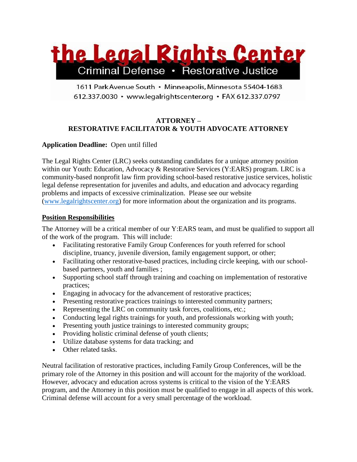

1611 Park Avenue South · Minneapolis, Minnesota 55404-1683 612.337.0030 · www.legalrightscenter.org · FAX 612.337.0797

# **ATTORNEY – RESTORATIVE FACILITATOR & YOUTH ADVOCATE ATTORNEY**

## **Application Deadline:** Open until filled

The Legal Rights Center (LRC) seeks outstanding candidates for a unique attorney position within our Youth: Education, Advocacy & Restorative Services (Y:EARS) program. LRC is a community-based nonprofit law firm providing school-based restorative justice services, holistic legal defense representation for juveniles and adults, and education and advocacy regarding problems and impacts of excessive criminalization. Please see our website [\(www.legalrightscenter.org\)](http://www.legalrightscenter.org/) for more information about the organization and its programs.

#### **Position Responsibilities**

The Attorney will be a critical member of our Y:EARS team, and must be qualified to support all of the work of the program. This will include:

- Facilitating restorative Family Group Conferences for youth referred for school discipline, truancy, juvenile diversion, family engagement support, or other;
- Facilitating other restorative-based practices, including circle keeping, with our schoolbased partners, youth and families ;
- Supporting school staff through training and coaching on implementation of restorative practices;
- Engaging in advocacy for the advancement of restorative practices;
- Presenting restorative practices trainings to interested community partners;
- Representing the LRC on community task forces, coalitions, etc.;
- Conducting legal rights trainings for youth, and professionals working with youth;
- Presenting youth justice trainings to interested community groups;
- Providing holistic criminal defense of youth clients;
- Utilize database systems for data tracking; and
- Other related tasks.

Neutral facilitation of restorative practices, including Family Group Conferences, will be the primary role of the Attorney in this position and will account for the majority of the workload. However, advocacy and education across systems is critical to the vision of the Y:EARS program, and the Attorney in this position must be qualified to engage in all aspects of this work. Criminal defense will account for a very small percentage of the workload.